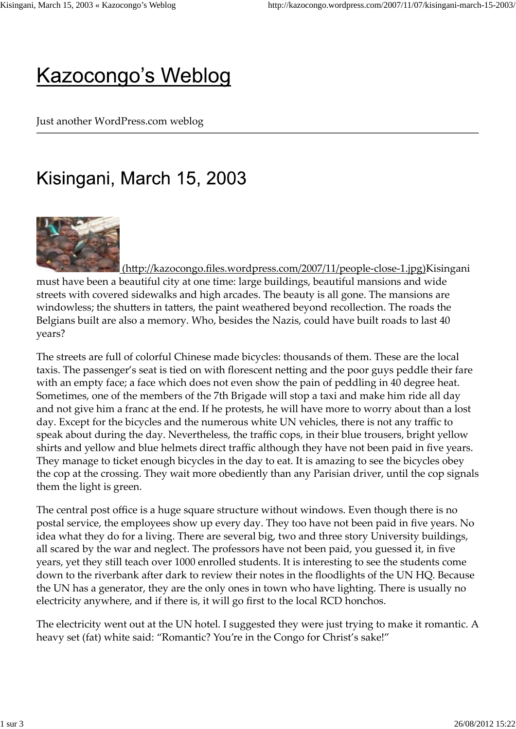## **Kazocongo's Weblog**

Just another WordPress.com weblog

## Kisingani, March 15, 2003



 (http://kazocongo.files.wordpress.com/2007/11/people-close-1.jpg)Kisingani must have been a beautiful city at one time: large buildings, beautiful mansions and wide streets with covered sidewalks and high arcades. The beauty is all gone. The mansions are windowless; the shutters in tatters, the paint weathered beyond recollection. The roads the Belgians built are also a memory. Who, besides the Nazis, could have built roads to last 40 years?

The streets are full of colorful Chinese made bicycles: thousands of them. These are the local taxis. The passenger's seat is tied on with florescent netting and the poor guys peddle their fare with an empty face; a face which does not even show the pain of peddling in 40 degree heat. Sometimes, one of the members of the 7th Brigade will stop a taxi and make him ride all day and not give him a franc at the end. If he protests, he will have more to worry about than a lost day. Except for the bicycles and the numerous white UN vehicles, there is not any traffic to speak about during the day. Nevertheless, the traffic cops, in their blue trousers, bright yellow shirts and yellow and blue helmets direct traffic although they have not been paid in five years. They manage to ticket enough bicycles in the day to eat. It is amazing to see the bicycles obey the cop at the crossing. They wait more obediently than any Parisian driver, until the cop signals them the light is green.

The central post office is a huge square structure without windows. Even though there is no postal service, the employees show up every day. They too have not been paid in five years. No idea what they do for a living. There are several big, two and three story University buildings, all scared by the war and neglect. The professors have not been paid, you guessed it, in five years, yet they still teach over 1000 enrolled students. It is interesting to see the students come down to the riverbank after dark to review their notes in the floodlights of the UN HQ. Because the UN has a generator, they are the only ones in town who have lighting. There is usually no electricity anywhere, and if there is, it will go first to the local RCD honchos.

The electricity went out at the UN hotel. I suggested they were just trying to make it romantic. A heavy set (fat) white said: "Romantic? You're in the Congo for Christ's sake!"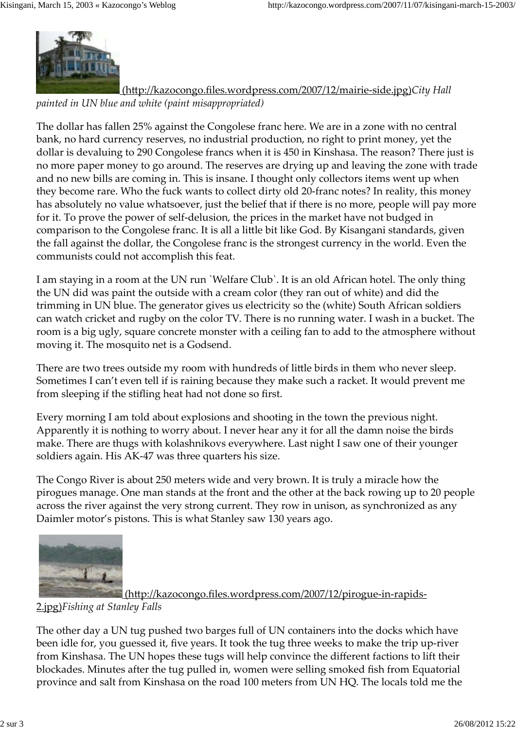

 (http://kazocongo.files.wordpress.com/2007/12/mairie-side.jpg)*City Hall painted in UN blue and white (paint misappropriated)*

The dollar has fallen 25% against the Congolese franc here. We are in a zone with no central bank, no hard currency reserves, no industrial production, no right to print money, yet the dollar is devaluing to 290 Congolese francs when it is 450 in Kinshasa. The reason? There just is no more paper money to go around. The reserves are drying up and leaving the zone with trade and no new bills are coming in. This is insane. I thought only collectors items went up when they become rare. Who the fuck wants to collect dirty old 20-franc notes? In reality, this money has absolutely no value whatsoever, just the belief that if there is no more, people will pay more for it. To prove the power of self-delusion, the prices in the market have not budged in comparison to the Congolese franc. It is all a little bit like God. By Kisangani standards, given the fall against the dollar, the Congolese franc is the strongest currency in the world. Even the communists could not accomplish this feat.

I am staying in a room at the UN run `Welfare Club`. It is an old African hotel. The only thing the UN did was paint the outside with a cream color (they ran out of white) and did the trimming in UN blue. The generator gives us electricity so the (white) South African soldiers can watch cricket and rugby on the color TV. There is no running water. I wash in a bucket. The room is a big ugly, square concrete monster with a ceiling fan to add to the atmosphere without moving it. The mosquito net is a Godsend.

There are two trees outside my room with hundreds of little birds in them who never sleep. Sometimes I can't even tell if is raining because they make such a racket. It would prevent me from sleeping if the stifling heat had not done so first.

Every morning I am told about explosions and shooting in the town the previous night. Apparently it is nothing to worry about. I never hear any it for all the damn noise the birds make. There are thugs with kolashnikovs everywhere. Last night I saw one of their younger soldiers again. His AK-47 was three quarters his size.

The Congo River is about 250 meters wide and very brown. It is truly a miracle how the pirogues manage. One man stands at the front and the other at the back rowing up to 20 people across the river against the very strong current. They row in unison, as synchronized as any Daimler motor's pistons. This is what Stanley saw 130 years ago.



## (http://kazocongo.files.wordpress.com/2007/12/pirogue-in-rapids-

2.jpg)*Fishing at Stanley Falls*

The other day a UN tug pushed two barges full of UN containers into the docks which have been idle for, you guessed it, five years. It took the tug three weeks to make the trip up-river from Kinshasa. The UN hopes these tugs will help convince the different factions to lift their blockades. Minutes after the tug pulled in, women were selling smoked fish from Equatorial province and salt from Kinshasa on the road 100 meters from UN HQ. The locals told me the